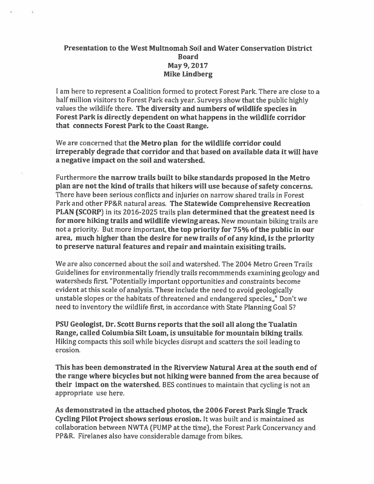## Presentation to the West Multnomah Soil and Water Conservation District Board May 9, 2017 Mike Lindberg

I am here to represen<sup>t</sup> <sup>a</sup> Coalition formed to protect Forest Park. There are close to <sup>a</sup> half million visitors to Forest Park each year. Surveys show that the public highly values the wildlife there. The diversity and numbers of wildlife species in Forest Park is directly dependent on what happens in the wildlife corridor that connects Forest Park to the Coast Range.

We are concerned that the Metro plan for the wildlife corridor could irreperably degrade that corridor and that based on available data it will have <sup>a</sup> negative impact on the soil and watershed.

Furthermore the narrow trails built to bike standards proposed in the Metro <sup>p</sup>lan are not the kind of trails that hikers will use because ofsafety concerns. There have been serious conflicts and injuries on narrow shared trails in Forest Park and other PP&R natural areas. The Statewide Comprehensive Recreation PLAN (SCORP) in its 2016-2025 trails <sup>p</sup>lan determined that the greatest need is for more hiking trails and wildlife viewing areas. New mountain biking trails are not <sup>a</sup> priority. But more important, the top priority for 75% of the public in our area, much higher than the desire for new trails of of any kind, is the priority to preserve natural features and repair and maintain exisiting trails.

We are also concerned about the soil and watershed. The 2004 Metro Green Trails Guidelines for environmentally friendly trails recommmends examining geology and watersheds first "Potentially important opportunities and constraints become evident at this scale of analysis. These include the need to avoid geologically unstable slopes or the habitats of threatened and endangered species,," Don't we need to inventory the wildlife first, in accordance with State Planning Goal 5?

PSU Geologist, Dr. Scott Burns reports that the soil all along the Tualatin Range, called Columbia Silt Loam, is unsuitable for mountain biking trails. Hiking compacts this soil while bicycles disrupt and scatters the soil leading to erosion.

This has been demonstrated in the Riverview Natural Area at the south end of the range where bicycles but not hiking were banned from the area because of their impact on the watershed. BES continues to maintain that cycling is not an appropriate use here.

As demonstrated in the attached <sup>p</sup>hotos, the <sup>2006</sup> Forest Park Single Track Cycling Pilot Project shows serious erosion. It was built and is maintained as collaboration between NWTA (PUMP at the time), the Forest Park Concervancy and PP&R. Firelanes also have considerable damage from bikes.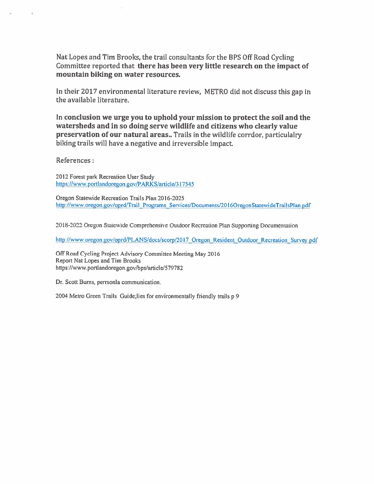Nat Lopes and Tim Brooks, the trail consultants for the BPS Off Road Cycling Committee reported that there has been very little research on the impact of mountain biking on water resources.

In their 2017 environmental literature review, METRO did not discuss this gap in the available literature.

In conclusion we urge you to uphold your mission to protect the soil and the watersheds and in so doing serve wildlife and citizens who clearly value preservation of our natural areas.. Trails in the wildlife corrdor, particulalry biking trails will have <sup>a</sup> negative and irreversible impact

References:

¥

2012 Forest park Recreation User Study https://wwwportlandoregon.gov/PARKS/article/317545

Oregon Statewide Recreation Trails Plan 2016-2025 http://www.oregon.gov/oprd/Trail Programs Services/Documents/2016OregonStatewideTrailsPlan.pdf

2018-2022 Oregon Statewide Comprehensive Outdoor Recreation Plan Supporting Documentation

http://www.oregon.gov/oprd/PLANS/docs/scorp/2017 Oregon Resident Outdoor Recreation Survey.pdf

Off Road Cycling Project Advisory Committee Meeting May 2016 Report Nat Lopes and Tim Brooks https://www.portlandoregon.gov/bps/article/579782

Dr. Scott Bums, perrsonla communication.

<sup>2004</sup> Metro Green Trails Guide;lies for environmentally friendly trails <sup>p</sup> <sup>9</sup>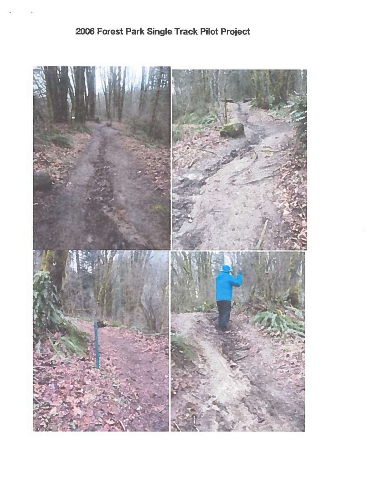## 2006 Forest Park Single Track Pilot Project